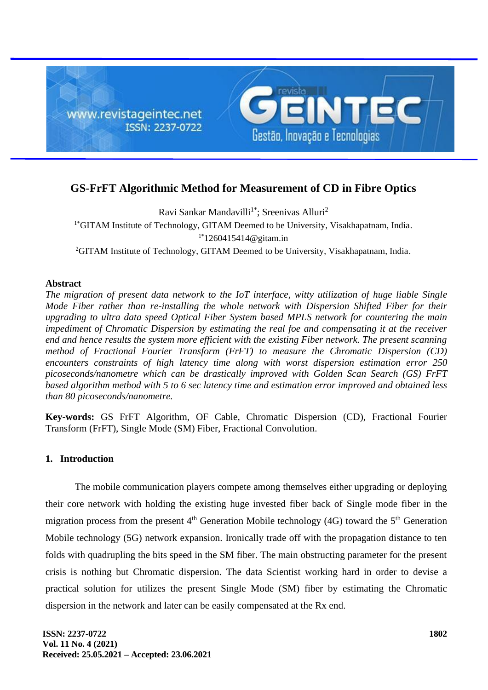

# **GS-FrFT Algorithmic Method for Measurement of CD in Fibre Optics**

Ravi Sankar Mandavilli<sup>1\*</sup>; Sreenivas Alluri<sup>2</sup> <sup>1\*</sup>GITAM Institute of Technology, GITAM Deemed to be University, Visakhapatnam, India.  $1*1260415414@$  gitam.in <sup>2</sup>GITAM Institute of Technology, GITAM Deemed to be University, Visakhapatnam, India.

## **Abstract**

*The migration of present data network to the IoT interface, witty utilization of huge liable Single Mode Fiber rather than re-installing the whole network with Dispersion Shifted Fiber for their upgrading to ultra data speed Optical Fiber System based MPLS network for countering the main impediment of Chromatic Dispersion by estimating the real foe and compensating it at the receiver end and hence results the system more efficient with the existing Fiber network. The present scanning method of Fractional Fourier Transform (FrFT) to measure the Chromatic Dispersion (CD) encounters constraints of high latency time along with worst dispersion estimation error 250 picoseconds/nanometre which can be drastically improved with Golden Scan Search (GS) FrFT based algorithm method with 5 to 6 sec latency time and estimation error improved and obtained less than 80 picoseconds/nanometre.* 

**Key-words:** GS FrFT Algorithm, OF Cable, Chromatic Dispersion (CD), Fractional Fourier Transform (FrFT), Single Mode (SM) Fiber, Fractional Convolution.

## **1. Introduction**

The mobile communication players compete among themselves either upgrading or deploying their core network with holding the existing huge invested fiber back of Single mode fiber in the migration process from the present  $4<sup>th</sup>$  Generation Mobile technology (4G) toward the  $5<sup>th</sup>$  Generation Mobile technology (5G) network expansion. Ironically trade off with the propagation distance to ten folds with quadrupling the bits speed in the SM fiber. The main obstructing parameter for the present crisis is nothing but Chromatic dispersion. The data Scientist working hard in order to devise a practical solution for utilizes the present Single Mode (SM) fiber by estimating the Chromatic dispersion in the network and later can be easily compensated at the Rx end.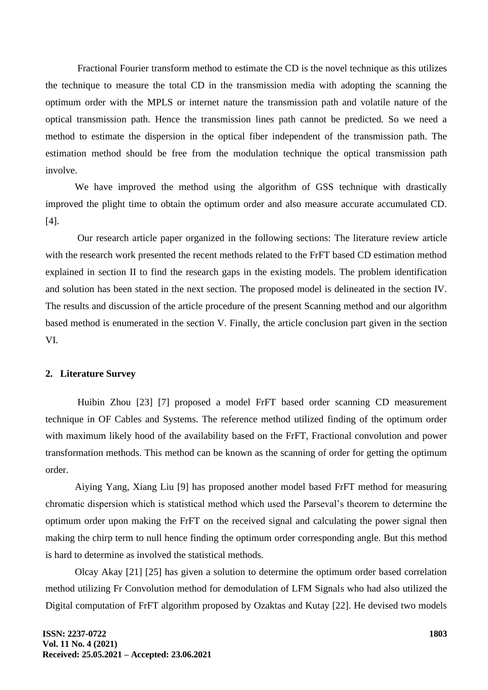Fractional Fourier transform method to estimate the CD is the novel technique as this utilizes the technique to measure the total CD in the transmission media with adopting the scanning the optimum order with the MPLS or internet nature the transmission path and volatile nature of the optical transmission path. Hence the transmission lines path cannot be predicted. So we need a method to estimate the dispersion in the optical fiber independent of the transmission path. The estimation method should be free from the modulation technique the optical transmission path involve.

We have improved the method using the algorithm of GSS technique with drastically improved the plight time to obtain the optimum order and also measure accurate accumulated CD. [4].

Our research article paper organized in the following sections: The literature review article with the research work presented the recent methods related to the FrFT based CD estimation method explained in section II to find the research gaps in the existing models. The problem identification and solution has been stated in the next section. The proposed model is delineated in the section IV. The results and discussion of the article procedure of the present Scanning method and our algorithm based method is enumerated in the section V. Finally, the article conclusion part given in the section VI.

## **2. Literature Survey**

Huibin Zhou [23] [7] proposed a model FrFT based order scanning CD measurement technique in OF Cables and Systems. The reference method utilized finding of the optimum order with maximum likely hood of the availability based on the FrFT, Fractional convolution and power transformation methods. This method can be known as the scanning of order for getting the optimum order.

Aiying Yang, Xiang Liu [9] has proposed another model based FrFT method for measuring chromatic dispersion which is statistical method which used the Parseval's theorem to determine the optimum order upon making the FrFT on the received signal and calculating the power signal then making the chirp term to null hence finding the optimum order corresponding angle. But this method is hard to determine as involved the statistical methods.

Olcay Akay [21] [25] has given a solution to determine the optimum order based correlation method utilizing Fr Convolution method for demodulation of LFM Signals who had also utilized the Digital computation of FrFT algorithm proposed by Ozaktas and Kutay [22]. He devised two models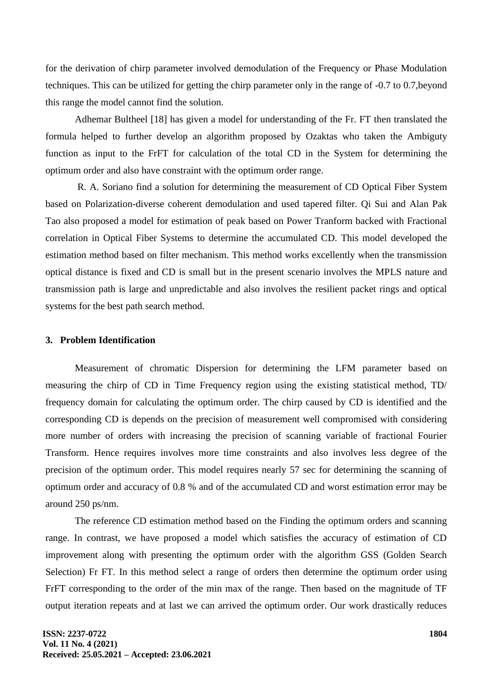for the derivation of chirp parameter involved demodulation of the Frequency or Phase Modulation techniques. This can be utilized for getting the chirp parameter only in the range of -0.7 to 0.7,beyond this range the model cannot find the solution.

Adhemar Bultheel [18] has given a model for understanding of the Fr. FT then translated the formula helped to further develop an algorithm proposed by Ozaktas who taken the Ambiguty function as input to the FrFT for calculation of the total CD in the System for determining the optimum order and also have constraint with the optimum order range.

R. A. Soriano find a solution for determining the measurement of CD Optical Fiber System based on Polarization-diverse coherent demodulation and used tapered filter. Qi Sui and Alan Pak Tao also proposed a model for estimation of peak based on Power Tranform backed with Fractional correlation in Optical Fiber Systems to determine the accumulated CD. This model developed the estimation method based on filter mechanism. This method works excellently when the transmission optical distance is fixed and CD is small but in the present scenario involves the MPLS nature and transmission path is large and unpredictable and also involves the resilient packet rings and optical systems for the best path search method.

#### **3. Problem Identification**

Measurement of chromatic Dispersion for determining the LFM parameter based on measuring the chirp of CD in Time Frequency region using the existing statistical method, TD/ frequency domain for calculating the optimum order. The chirp caused by CD is identified and the corresponding CD is depends on the precision of measurement well compromised with considering more number of orders with increasing the precision of scanning variable of fractional Fourier Transform. Hence requires involves more time constraints and also involves less degree of the precision of the optimum order. This model requires nearly 57 sec for determining the scanning of optimum order and accuracy of 0.8 % and of the accumulated CD and worst estimation error may be around 250 ps/nm.

The reference CD estimation method based on the Finding the optimum orders and scanning range. In contrast, we have proposed a model which satisfies the accuracy of estimation of CD improvement along with presenting the optimum order with the algorithm GSS (Golden Search Selection) Fr FT. In this method select a range of orders then determine the optimum order using FrFT corresponding to the order of the min max of the range. Then based on the magnitude of TF output iteration repeats and at last we can arrived the optimum order. Our work drastically reduces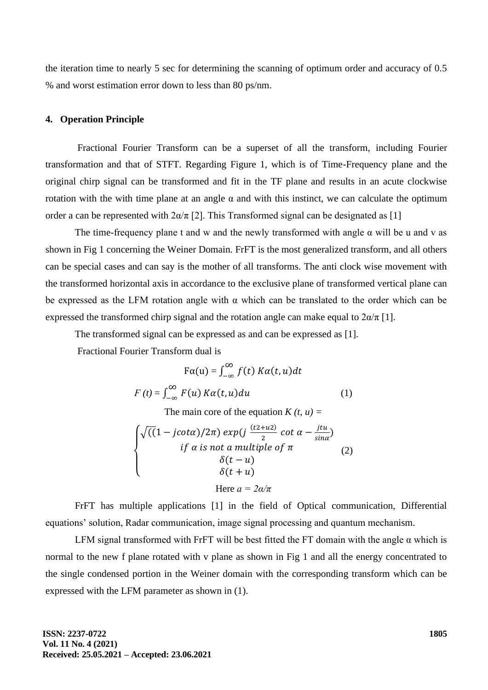the iteration time to nearly 5 sec for determining the scanning of optimum order and accuracy of 0.5 % and worst estimation error down to less than 80 ps/nm.

#### **4. Operation Principle**

Fractional Fourier Transform can be a superset of all the transform, including Fourier transformation and that of STFT. Regarding Figure 1, which is of Time-Frequency plane and the original chirp signal can be transformed and fit in the TF plane and results in an acute clockwise rotation with the with time plane at an angle α and with this instinct, we can calculate the optimum order a can be represented with  $2\alpha/\pi$  [2]. This Transformed signal can be designated as [1]

The time-frequency plane t and w and the newly transformed with angle  $\alpha$  will be u and v as shown in Fig 1 concerning the Weiner Domain. FrFT is the most generalized transform, and all others can be special cases and can say is the mother of all transforms. The anti clock wise movement with the transformed horizontal axis in accordance to the exclusive plane of transformed vertical plane can be expressed as the LFM rotation angle with  $\alpha$  which can be translated to the order which can be expressed the transformed chirp signal and the rotation angle can make equal to  $2\alpha/\pi$  [1].

The transformed signal can be expressed as and can be expressed as [1].

Fractional Fourier Transform dual is

$$
F\alpha(u) = \int_{-\infty}^{\infty} f(t) K\alpha(t, u) dt
$$
  

$$
F(t) = \int_{-\infty}^{\infty} F(u) K\alpha(t, u) du
$$
 (1)

The main core of the equation  $K(t, u) =$ 

$$
\begin{cases}\n\sqrt{((1 - j \cot \alpha)/2\pi)} \exp(j \frac{(t2 + u2)}{2} \cot \alpha - \frac{j \tau u}{\sin \alpha}) \\
\qquad \qquad if \alpha \text{ is not a multiple of } \pi \\
\qquad \qquad \delta(t - u) \\
\qquad \qquad \delta(t + u) \\
\qquad \qquad \text{Here } a = 2\alpha/\pi\n\end{cases} (2)
$$

FrFT has multiple applications [1] in the field of Optical communication, Differential equations' solution, Radar communication, image signal processing and quantum mechanism.

LFM signal transformed with FrFT will be best fitted the FT domain with the angle  $\alpha$  which is normal to the new f plane rotated with v plane as shown in Fig 1 and all the energy concentrated to the single condensed portion in the Weiner domain with the corresponding transform which can be expressed with the LFM parameter as shown in (1).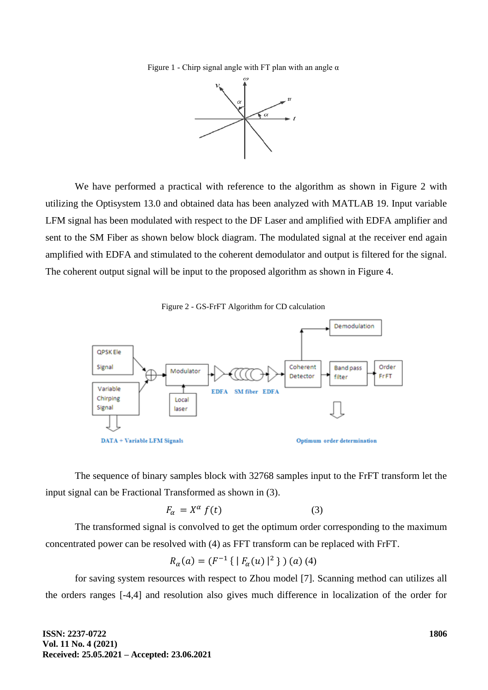Figure 1 - Chirp signal angle with FT plan with an angle  $\alpha$ 



We have performed a practical with reference to the algorithm as shown in Figure 2 with utilizing the Optisystem 13.0 and obtained data has been analyzed with MATLAB 19. Input variable LFM signal has been modulated with respect to the DF Laser and amplified with EDFA amplifier and sent to the SM Fiber as shown below block diagram. The modulated signal at the receiver end again amplified with EDFA and stimulated to the coherent demodulator and output is filtered for the signal. The coherent output signal will be input to the proposed algorithm as shown in Figure 4.





The sequence of binary samples block with 32768 samples input to the FrFT transform let the input signal can be Fractional Transformed as shown in (3).

$$
F_{\alpha} = X^{\alpha} f(t) \tag{3}
$$

The transformed signal is convolved to get the optimum order corresponding to the maximum concentrated power can be resolved with (4) as FFT transform can be replaced with FrFT.

$$
R_{\alpha}(a) = (F^{-1}\{ |F_{\alpha}(u)|^2 \}) (a) (4)
$$

for saving system resources with respect to Zhou model [7]. Scanning method can utilizes all the orders ranges [-4,4] and resolution also gives much difference in localization of the order for

**ISSN: 2237-0722 Vol. 11 No. 4 (2021) Received: 25.05.2021 – Accepted: 23.06.2021**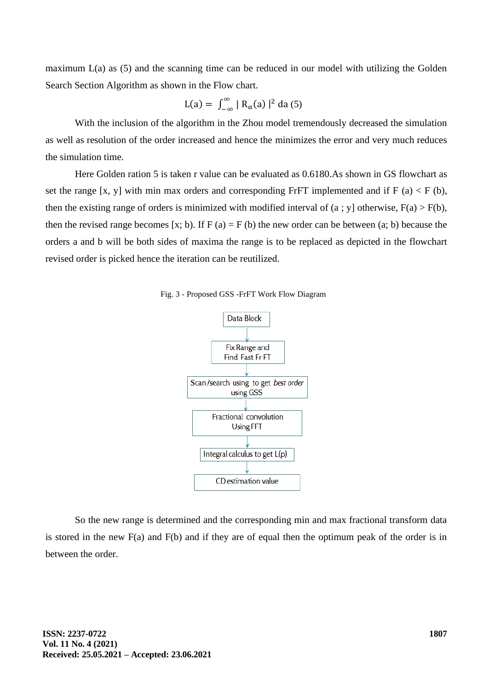maximum  $L(a)$  as (5) and the scanning time can be reduced in our model with utilizing the Golden Search Section Algorithm as shown in the Flow chart.

$$
L(a) = \int_{-\infty}^{\infty} | R_{\alpha}(a) |^2 da (5)
$$

With the inclusion of the algorithm in the Zhou model tremendously decreased the simulation as well as resolution of the order increased and hence the minimizes the error and very much reduces the simulation time.

Here Golden ration 5 is taken r value can be evaluated as 0.6180.As shown in GS flowchart as set the range [x, y] with min max orders and corresponding FrFT implemented and if  $F(a) < F(b)$ , then the existing range of orders is minimized with modified interval of  $(a : y]$  otherwise,  $F(a) > F(b)$ , then the revised range becomes [x; b). If  $F(a) = F(b)$  the new order can be between (a; b) because the orders a and b will be both sides of maxima the range is to be replaced as depicted in the flowchart revised order is picked hence the iteration can be reutilized.





So the new range is determined and the corresponding min and max fractional transform data is stored in the new F(a) and F(b) and if they are of equal then the optimum peak of the order is in between the order.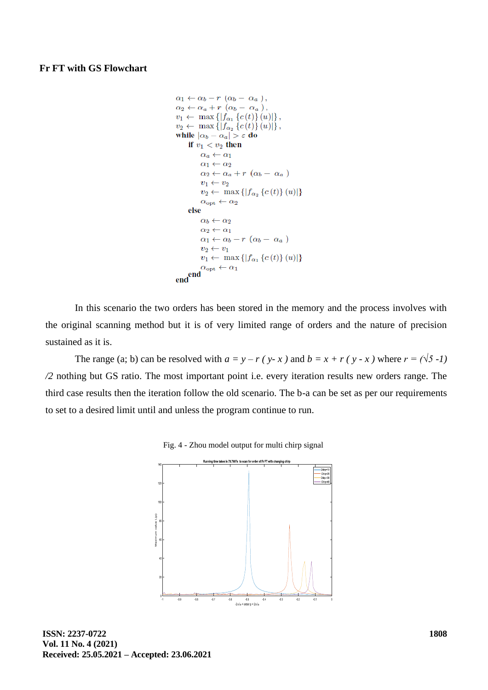### **Fr FT with GS Flowchart**

```
\alpha_1 \leftarrow \alpha_b - r \ (\alpha_b - \alpha_a),
 \alpha_2 \leftarrow \alpha_a + r \left( \alpha_b - \alpha_a \right),
 v_1 \leftarrow \max \{ |f_{\alpha_1} \{c(t)\}(u)| \},v_2 \leftarrow \max \{ |f_{\alpha_2} \{c(t)\}(u)| \},\while |\alpha_b - \alpha_a| > \varepsilon do
        if v_1 < v_2 then
                \alpha_a \leftarrow \alpha_1\alpha_1 \leftarrow \alpha_2\alpha_2 \leftarrow \alpha_a + r \ (\alpha_b - \alpha_a)v_1 \leftarrow v_2v_2 \leftarrow \max\{|f_{\alpha_2}\{c(t)\}(u)|\}\alpha_{\rm opt} \leftarrow \alpha_2else
                \alpha_b \leftarrow \alpha_2\alpha_2 \leftarrow \alpha_1\alpha_1 \leftarrow \alpha_b - r \, (\alpha_b - \, \alpha_a)v_2 \leftarrow v_1v_1 \leftarrow \max\{|f_{\alpha_1}\{c(t)\}(u)|\}\alpha_{\text{opt}} \leftarrow \alpha_1\epsilon<sub>end</sub>\epsilon<sup>o</sup>
```
In this scenario the two orders has been stored in the memory and the process involves with the original scanning method but it is of very limited range of orders and the nature of precision sustained as it is.

The range (a; b) can be resolved with  $a = y - r$  ( $y-x$ ) and  $b = x + r$  ( $y-x$ ) where  $r = (\sqrt{5} - 1)$ */2* nothing but GS ratio. The most important point i.e. every iteration results new orders range. The third case results then the iteration follow the old scenario. The b-a can be set as per our requirements to set to a desired limit until and unless the program continue to run.



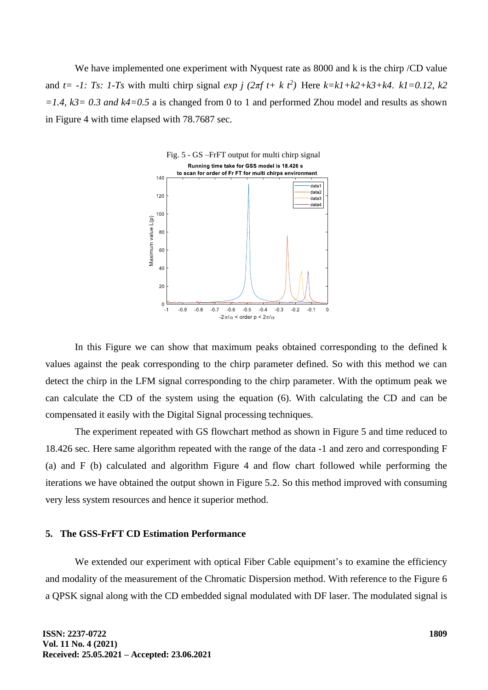We have implemented one experiment with Nyquest rate as 8000 and k is the chirp /CD value and  $t = -1$ : Ts: 1-Ts with multi chirp signal  $exp j (2\pi ft + k t^2)$  Here  $k=kI+k2+k3+k4$ .  $kI=0.12$ ,  $k2$ *=1.4, k3= 0.3 and k4=0.5* a is changed from 0 to 1 and performed Zhou model and results as shown in Figure 4 with time elapsed with 78.7687 sec.



In this Figure we can show that maximum peaks obtained corresponding to the defined k values against the peak corresponding to the chirp parameter defined. So with this method we can detect the chirp in the LFM signal corresponding to the chirp parameter. With the optimum peak we can calculate the CD of the system using the equation (6). With calculating the CD and can be compensated it easily with the Digital Signal processing techniques.

The experiment repeated with GS flowchart method as shown in Figure 5 and time reduced to 18.426 sec. Here same algorithm repeated with the range of the data -1 and zero and corresponding F (a) and F (b) calculated and algorithm Figure 4 and flow chart followed while performing the iterations we have obtained the output shown in Figure 5.2. So this method improved with consuming very less system resources and hence it superior method.

#### **5. The GSS-FrFT CD Estimation Performance**

We extended our experiment with optical Fiber Cable equipment's to examine the efficiency and modality of the measurement of the Chromatic Dispersion method. With reference to the Figure 6 a QPSK signal along with the CD embedded signal modulated with DF laser. The modulated signal is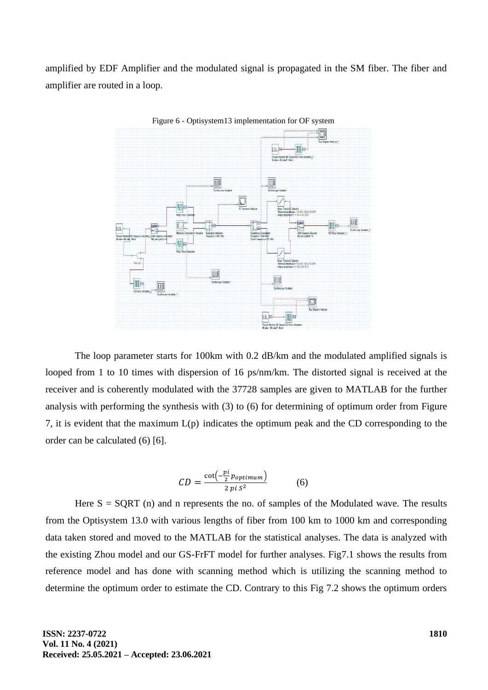amplified by EDF Amplifier and the modulated signal is propagated in the SM fiber. The fiber and amplifier are routed in a loop.



Figure 6 - Optisystem13 implementation for OF system

The loop parameter starts for 100km with 0.2 dB/km and the modulated amplified signals is looped from 1 to 10 times with dispersion of 16 ps/nm/km. The distorted signal is received at the receiver and is coherently modulated with the 37728 samples are given to MATLAB for the further analysis with performing the synthesis with (3) to (6) for determining of optimum order from Figure 7, it is evident that the maximum L(p) indicates the optimum peak and the CD corresponding to the order can be calculated (6) [6].

$$
CD = \frac{\cot\left(-\frac{pi}{2}p_{optimum}\right)}{2\pi i\,S^2} \tag{6}
$$

Here  $S = SQRT$  (n) and n represents the no. of samples of the Modulated wave. The results from the Optisystem 13.0 with various lengths of fiber from 100 km to 1000 km and corresponding data taken stored and moved to the MATLAB for the statistical analyses. The data is analyzed with the existing Zhou model and our GS-FrFT model for further analyses. Fig7.1 shows the results from reference model and has done with scanning method which is utilizing the scanning method to determine the optimum order to estimate the CD. Contrary to this Fig 7.2 shows the optimum orders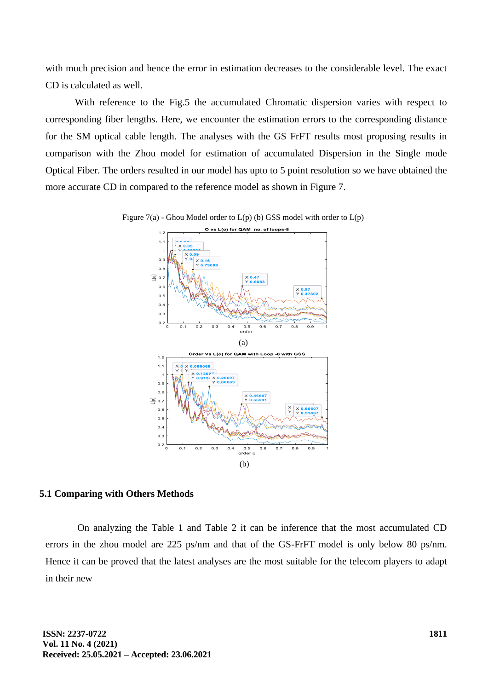with much precision and hence the error in estimation decreases to the considerable level. The exact CD is calculated as well.

With reference to the Fig.5 the accumulated Chromatic dispersion varies with respect to corresponding fiber lengths. Here, we encounter the estimation errors to the corresponding distance for the SM optical cable length. The analyses with the GS FrFT results most proposing results in comparison with the Zhou model for estimation of accumulated Dispersion in the Single mode Optical Fiber. The orders resulted in our model has upto to 5 point resolution so we have obtained the more accurate CD in compared to the reference model as shown in Figure 7.





#### **5.1 Comparing with Others Methods**

On analyzing the Table 1 and Table 2 it can be inference that the most accumulated CD errors in the zhou model are 225 ps/nm and that of the GS-FrFT model is only below 80 ps/nm. Hence it can be proved that the latest analyses are the most suitable for the telecom players to adapt in their new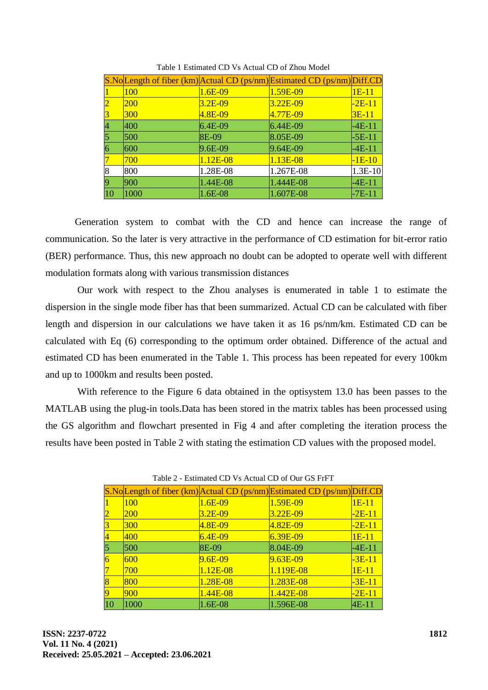|                         |            |           | S.No Length of fiber (km) Actual CD (ps/nm) Estimated CD (ps/nm) Diff.CD |          |
|-------------------------|------------|-----------|--------------------------------------------------------------------------|----------|
|                         | 100        | $1.6E-09$ | 1.59E-09                                                                 | $1E-11$  |
| $\overline{2}$          | <b>200</b> | $3.2E-09$ | $3.22E-09$                                                               | $-2E-11$ |
| $\overline{\mathbf{3}}$ | 300        | $4.8E-09$ | 4.77E-09                                                                 | $3E-11$  |
| $\overline{4}$          | 400        | $6.4E-09$ | $6.44E-09$                                                               | $-4E-11$ |
| $\overline{5}$          | 500        | $ 8E-09$  | 8.05E-09                                                                 | $-5E-11$ |
| $\overline{6}$          | 600        | $9.6E-09$ | 9.64E-09                                                                 | $-4E-11$ |
| 7                       | 700        | 1.12E-08  | $1.13E-08$                                                               | $-1E-10$ |
| 8                       | 800        | 1.28E-08  | 1.267E-08                                                                | 1.3E-10  |
| 9                       | 900        | 1.44E-08  | 1.444E-08                                                                | $-4E-11$ |
| $ 10\rangle$            | 1000       | $1.6E-08$ | 1.607E-08                                                                | $-7E-11$ |

Table 1 Estimated CD Vs Actual CD of Zhou Model

Generation system to combat with the CD and hence can increase the range of communication. So the later is very attractive in the performance of CD estimation for bit-error ratio (BER) performance. Thus, this new approach no doubt can be adopted to operate well with different modulation formats along with various transmission distances

Our work with respect to the Zhou analyses is enumerated in table 1 to estimate the dispersion in the single mode fiber has that been summarized. Actual CD can be calculated with fiber length and dispersion in our calculations we have taken it as 16 ps/nm/km. Estimated CD can be calculated with Eq (6) corresponding to the optimum order obtained. Difference of the actual and estimated CD has been enumerated in the Table 1. This process has been repeated for every 100km and up to 1000km and results been posted.

With reference to the Figure 6 data obtained in the optisystem 13.0 has been passes to the MATLAB using the plug-in tools.Data has been stored in the matrix tables has been processed using the GS algorithm and flowchart presented in Fig 4 and after completing the iteration process the results have been posted in Table 2 with stating the estimation CD values with the proposed model.

|                    |            |               | S.No Length of fiber (km) Actual CD (ps/nm) Estimated CD (ps/nm) Diff.CD |          |
|--------------------|------------|---------------|--------------------------------------------------------------------------|----------|
|                    | 100        | 1.6E-09       | 1.59E-09                                                                 | $1E-11$  |
| 2                  | <b>200</b> | $3.2E-09$     | $3.22E-09$                                                               | $-2E-11$ |
|                    | 300        | $4.8E-09$     | 4.82E-09                                                                 | $-2E-11$ |
| $\overline{\bf 4}$ | 400        | $6.4E-09$     | $6.39E-09$                                                               | $1E-11$  |
| 5                  | 500        | 8E-09         | $8.04E-09$                                                               | $-4E-11$ |
| $\overline{6}$     | 600        | $9.6E-09$     | $9.63E-09$                                                               | $-3E-11$ |
|                    | 700        | 1.12E-08      | 1.119E-08                                                                | $1E-11$  |
| $\overline{8}$     | 800        | $1.28E - 0.8$ | 1.283E-08                                                                | $-3E-11$ |
| 9                  | 900        | $1.44E-08$    | $1.442E-08$                                                              | $-2E-11$ |
| 10                 | 1000       | 1.6E-08       | 1.596E-08                                                                | 4E-11    |

Table 2 - Estimated CD Vs Actual CD of Our GS FrFT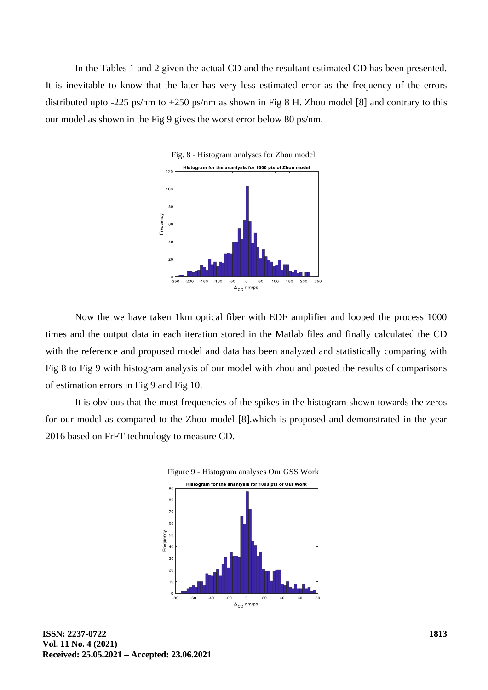In the Tables 1 and 2 given the actual CD and the resultant estimated CD has been presented. It is inevitable to know that the later has very less estimated error as the frequency of the errors distributed upto -225 ps/nm to +250 ps/nm as shown in Fig 8 H. Zhou model [8] and contrary to this our model as shown in the Fig 9 gives the worst error below 80 ps/nm.



Now the we have taken 1km optical fiber with EDF amplifier and looped the process 1000 times and the output data in each iteration stored in the Matlab files and finally calculated the CD with the reference and proposed model and data has been analyzed and statistically comparing with Fig 8 to Fig 9 with histogram analysis of our model with zhou and posted the results of comparisons of estimation errors in Fig 9 and Fig 10.

It is obvious that the most frequencies of the spikes in the histogram shown towards the zeros for our model as compared to the Zhou model [8].which is proposed and demonstrated in the year 2016 based on FrFT technology to measure CD.

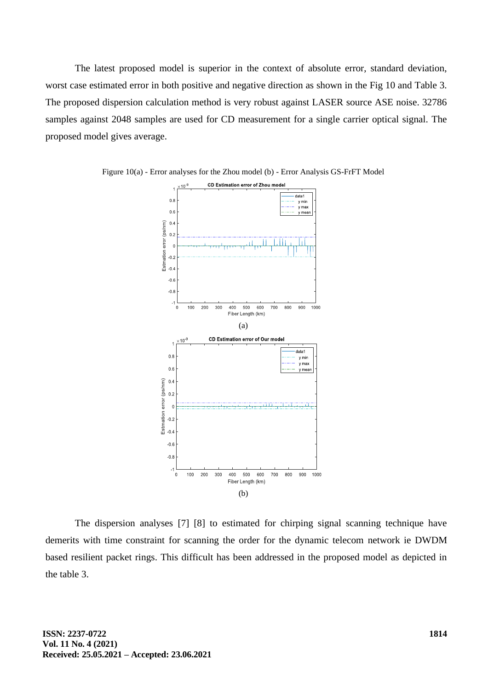The latest proposed model is superior in the context of absolute error, standard deviation, worst case estimated error in both positive and negative direction as shown in the Fig 10 and Table 3. The proposed dispersion calculation method is very robust against LASER source ASE noise. 32786 samples against 2048 samples are used for CD measurement for a single carrier optical signal. The proposed model gives average.





The dispersion analyses [7] [8] to estimated for chirping signal scanning technique have demerits with time constraint for scanning the order for the dynamic telecom network ie DWDM based resilient packet rings. This difficult has been addressed in the proposed model as depicted in the table 3.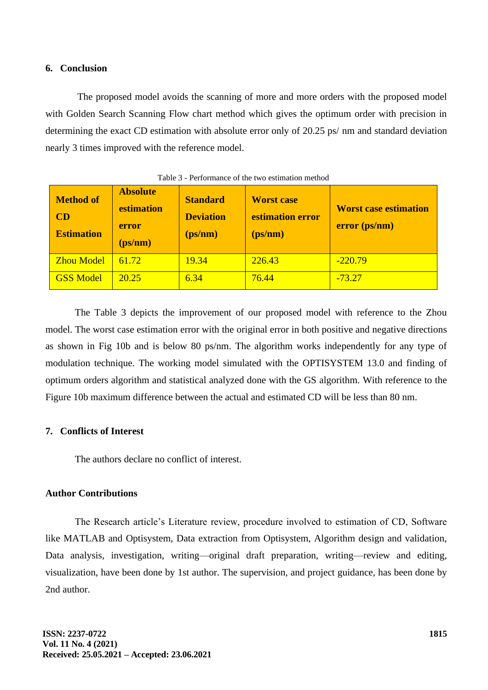#### **6. Conclusion**

The proposed model avoids the scanning of more and more orders with the proposed model with Golden Search Scanning Flow chart method which gives the optimum order with precision in determining the exact CD estimation with absolute error only of 20.25 ps/ nm and standard deviation nearly 3 times improved with the reference model.

| <b>Method of</b><br>CD<br><b>Estimation</b> | <b>Absolute</b><br>estimation<br>error<br>(ps/nm) | <b>Standard</b><br><b>Deviation</b><br>(ps/nm) | <b>Worst case</b><br>estimation error<br>(ps/nm) | <b>Worst case estimation</b><br>error (ps/nm) |
|---------------------------------------------|---------------------------------------------------|------------------------------------------------|--------------------------------------------------|-----------------------------------------------|
| <b>Zhou Model</b>                           | 61.72                                             | 19.34                                          | 226.43                                           | $-220.79$                                     |
| <b>GSS Model</b>                            | 20.25                                             | 6.34                                           | 76.44                                            | $-73.27$                                      |

|  | Table 3 - Performance of the two estimation method |  |  |  |
|--|----------------------------------------------------|--|--|--|
|--|----------------------------------------------------|--|--|--|

The Table 3 depicts the improvement of our proposed model with reference to the Zhou model. The worst case estimation error with the original error in both positive and negative directions as shown in Fig 10b and is below 80 ps/nm. The algorithm works independently for any type of modulation technique. The working model simulated with the OPTISYSTEM 13.0 and finding of optimum orders algorithm and statistical analyzed done with the GS algorithm. With reference to the Figure 10b maximum difference between the actual and estimated CD will be less than 80 nm.

## **7. Conflicts of Interest**

The authors declare no conflict of interest.

## **Author Contributions**

The Research article's Literature review, procedure involved to estimation of CD, Software like MATLAB and Optisystem, Data extraction from Optisystem, Algorithm design and validation, Data analysis, investigation, writing—original draft preparation, writing—review and editing, visualization, have been done by 1st author. The supervision, and project guidance, has been done by 2nd author.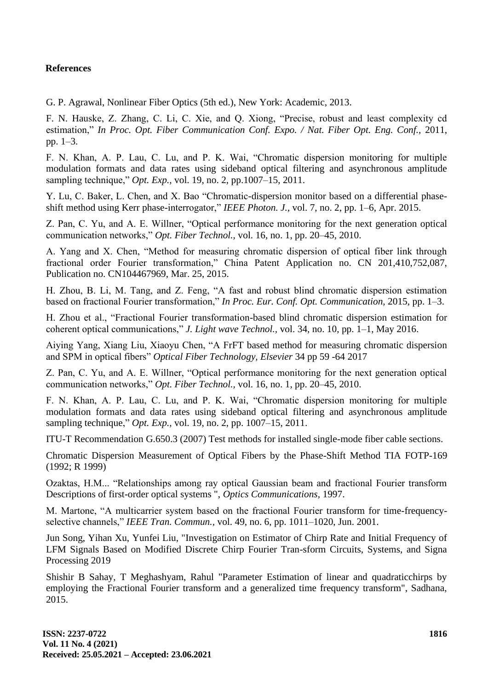## **References**

G. P. Agrawal, Nonlinear Fiber Optics (5th ed.), New York: Academic, 2013.

F. N. Hauske, Z. Zhang, C. Li, C. Xie, and Q. Xiong, "Precise, robust and least complexity cd estimation," *In Proc. Opt. Fiber Communication Conf. Expo. / Nat. Fiber Opt. Eng. Conf., 2011,* pp. 1–3.

F. N. Khan, A. P. Lau, C. Lu, and P. K. Wai, "Chromatic dispersion monitoring for multiple modulation formats and data rates using sideband optical filtering and asynchronous amplitude sampling technique," *Opt. Exp.,* vol. 19, no. 2, pp.1007–15, 2011.

Y. Lu, C. Baker, L. Chen, and X. Bao "Chromatic-dispersion monitor based on a differential phaseshift method using Kerr phase-interrogator," *IEEE Photon. J.,* vol. 7, no. 2, pp. 1–6, Apr. 2015.

Z. Pan, C. Yu, and A. E. Willner, "Optical performance monitoring for the next generation optical communication networks," *Opt. Fiber Technol.,* vol. 16, no. 1, pp. 20–45, 2010.

A. Yang and X. Chen, "Method for measuring chromatic dispersion of optical fiber link through fractional order Fourier transformation," China Patent Application no. CN 201,410,752,087, Publication no. CN104467969, Mar. 25, 2015.

H. Zhou, B. Li, M. Tang, and Z. Feng, "A fast and robust blind chromatic dispersion estimation based on fractional Fourier transformation," *In Proc. Eur. Conf. Opt. Communication,* 2015, pp. 1–3.

H. Zhou et al., "Fractional Fourier transformation-based blind chromatic dispersion estimation for coherent optical communications," *J. Light wave Technol.,* vol. 34, no. 10, pp. 1–1, May 2016.

Aiying Yang, Xiang Liu, Xiaoyu Chen, "A FrFT based method for measuring chromatic dispersion and SPM in optical fibers" *Optical Fiber Technology, Elsevier* 34 pp 59 -64 2017

Z. Pan, C. Yu, and A. E. Willner, "Optical performance monitoring for the next generation optical communication networks," *Opt. Fiber Technol.,* vol. 16, no. 1, pp. 20–45, 2010.

F. N. Khan, A. P. Lau, C. Lu, and P. K. Wai, "Chromatic dispersion monitoring for multiple modulation formats and data rates using sideband optical filtering and asynchronous amplitude sampling technique," *Opt. Exp.,* vol. 19, no. 2, pp. 1007–15, 2011.

ITU-T Recommendation G.650.3 (2007) Test methods for installed single-mode fiber cable sections.

Chromatic Dispersion Measurement of Optical Fibers by the Phase-Shift Method TIA FOTP-169 (1992; R 1999)

Ozaktas, H.M... "Relationships among ray optical Gaussian beam and fractional Fourier transform Descriptions of first-order optical systems ", *Optics Communications,* 1997.

M. Martone, "A multicarrier system based on the fractional Fourier transform for time-frequencyselective channels," *IEEE Tran. Commun.,* vol. 49, no. 6, pp. 1011–1020, Jun. 2001.

Jun Song, Yihan Xu, Yunfei Liu, "Investigation on Estimator of Chirp Rate and Initial Frequency of LFM Signals Based on Modified Discrete Chirp Fourier Tran-sform Circuits, Systems, and Signa Processing 2019

Shishir B Sahay, T Meghashyam, Rahul "Parameter Estimation of linear and quadraticchirps by employing the Fractional Fourier transform and a generalized time frequency transform", Sadhana, 2015.